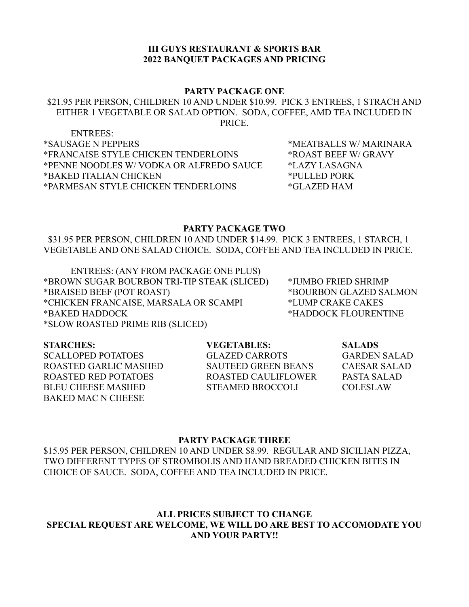## **III GUYS RESTAURANT & SPORTS BAR 2022 BANQUET PACKAGES AND PRICING**

### **PARTY PACKAGE ONE**

### \$21.95 PER PERSON, CHILDREN 10 AND UNDER \$10.99. PICK 3 ENTREES, 1 STRACH AND EITHER 1 VEGETABLE OR SALAD OPTION. SODA, COFFEE, AMD TEA INCLUDED IN PRICE.

ENTREES: \*SAUSAGE N PEPPERS \*MEATBALLS W/ MARINARA \*FRANCAISE STYLE CHICKEN TENDERLOINS \*ROAST BEEF W/ GRAVY \*PENNE NOODLES W/ VODKA OR ALFREDO SAUCE \*LAZY LASAGNA \*BAKED ITALIAN CHICKEN \*PULLED PORK \*PARMESAN STYLE CHICKEN TENDERLOINS \*GLAZED HAM

#### **PARTY PACKAGE TWO**

 \$31.95 PER PERSON, CHILDREN 10 AND UNDER \$14.99. PICK 3 ENTREES, 1 STARCH, 1 VEGETABLE AND ONE SALAD CHOICE. SODA, COFFEE AND TEA INCLUDED IN PRICE.

ENTREES: (ANY FROM PACKAGE ONE PLUS) \*BROWN SUGAR BOURBON TRI-TIP STEAK (SLICED) \*JUMBO FRIED SHRIMP \*BRAISED BEEF (POT ROAST) \*BOURBON GLAZED SALMON \*CHICKEN FRANCAISE, MARSALA OR SCAMPI \*LUMP CRAKE CAKES \*BAKED HADDOCK \*HADDOCK FLOURENTINE \*SLOW ROASTED PRIME RIB (SLICED)

SCALLOPED POTATOES GLAZED CARROTS GARDEN SALAD ROASTED GARLIC MASHED SAUTEED GREEN BEANS CAESAR SALAD ROASTED RED POTATOES ROASTED CAULIFLOWER PASTA SALAD BLEU CHEESE MASHED STEAMED BROCCOLI COLESLAW BAKED MAC N CHEESE

**STARCHES: VEGETABLES: SALADS**

#### **PARTY PACKAGE THREE**

\$15.95 PER PERSON, CHILDREN 10 AND UNDER \$8.99. REGULAR AND SICILIAN PIZZA, TWO DIFFERENT TYPES OF STROMBOLIS AND HAND BREADED CHICKEN BITES IN CHOICE OF SAUCE. SODA, COFFEE AND TEA INCLUDED IN PRICE.

# **ALL PRICES SUBJECT TO CHANGE SPECIAL REQUEST ARE WELCOME, WE WILL DO ARE BEST TO ACCOMODATE YOU AND YOUR PARTY!!**